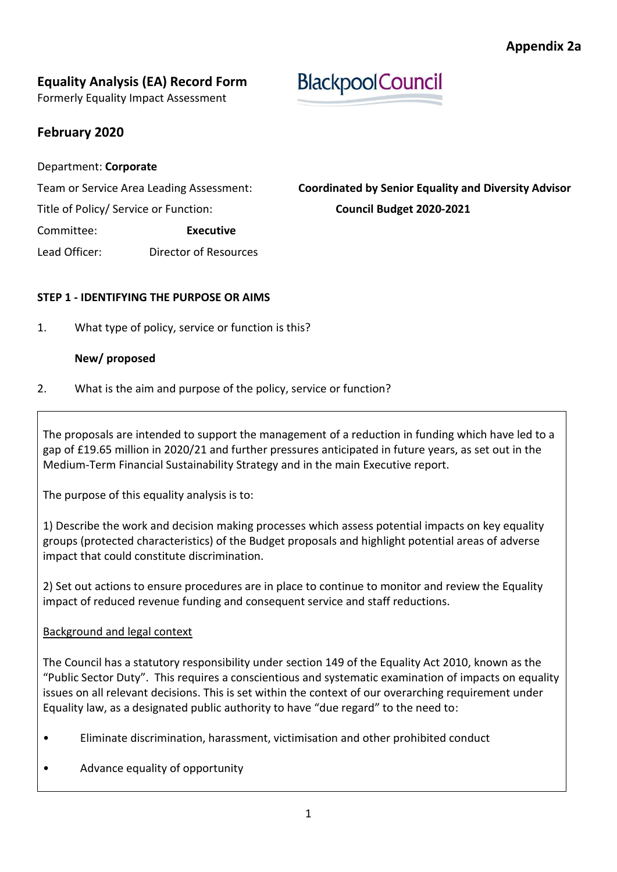# **Equality Analysis (EA) Record Form**

Formerly Equality Impact Assessment

## **February 2020**

#### Department: **Corporate**

Title of Policy/ Service or Function: **Council Budget 2020-2021**

Committee: **Executive**

Lead Officer: Director of Resources

# Team or Service Area Leading Assessment: **Coordinated by Senior Equality and Diversity Advisor**

**BlackpoolCouncil** 

#### **STEP 1 - IDENTIFYING THE PURPOSE OR AIMS**

1. What type of policy, service or function is this?

### **New/ proposed**

2. What is the aim and purpose of the policy, service or function?

The proposals are intended to support the management of a reduction in funding which have led to a gap of £19.65 million in 2020/21 and further pressures anticipated in future years, as set out in the Medium-Term Financial Sustainability Strategy and in the main Executive report.

The purpose of this equality analysis is to:

1) Describe the work and decision making processes which assess potential impacts on key equality groups (protected characteristics) of the Budget proposals and highlight potential areas of adverse impact that could constitute discrimination.

2) Set out actions to ensure procedures are in place to continue to monitor and review the Equality impact of reduced revenue funding and consequent service and staff reductions.

### Background and legal context

The Council has a statutory responsibility under section 149 of the Equality Act 2010, known as the "Public Sector Duty". This requires a conscientious and systematic examination of impacts on equality issues on all relevant decisions. This is set within the context of our overarching requirement under Equality law, as a designated public authority to have "due regard" to the need to:

- Eliminate discrimination, harassment, victimisation and other prohibited conduct
- Advance equality of opportunity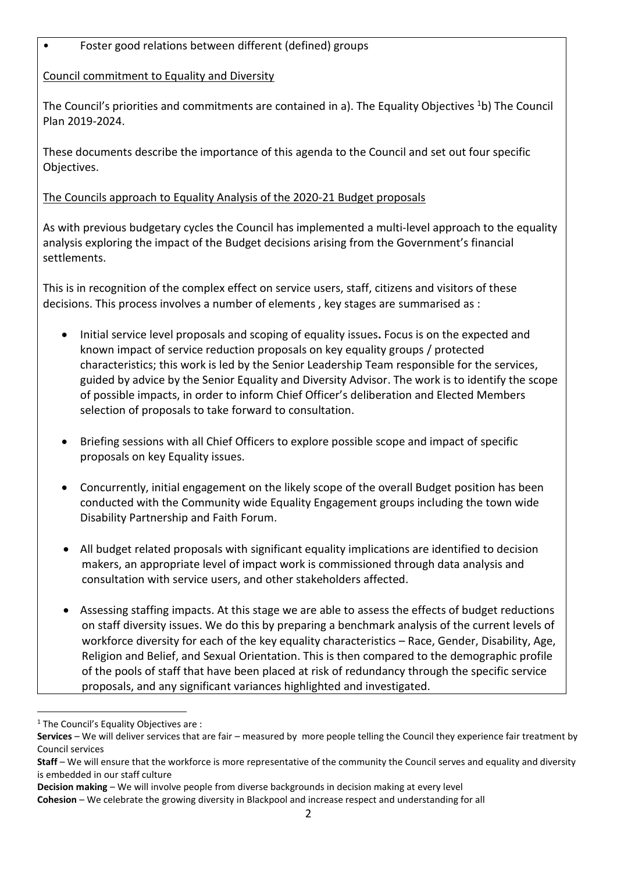## • Foster good relations between different (defined) groups

#### Council commitment to Equality and Diversity

The Council's priorities and commitments are contained in a). The Equality Objectives <sup>1</sup>b) The Council Plan 2019-2024.

These documents describe the importance of this agenda to the Council and set out four specific Objectives.

### The Councils approach to Equality Analysis of the 2020-21 Budget proposals

As with previous budgetary cycles the Council has implemented a multi-level approach to the equality analysis exploring the impact of the Budget decisions arising from the Government's financial settlements.

This is in recognition of the complex effect on service users, staff, citizens and visitors of these decisions. This process involves a number of elements , key stages are summarised as :

- Initial service level proposals and scoping of equality issues**.** Focus is on the expected and known impact of service reduction proposals on key equality groups / protected characteristics; this work is led by the Senior Leadership Team responsible for the services, guided by advice by the Senior Equality and Diversity Advisor. The work is to identify the scope of possible impacts, in order to inform Chief Officer's deliberation and Elected Members selection of proposals to take forward to consultation.
- Briefing sessions with all Chief Officers to explore possible scope and impact of specific proposals on key Equality issues.
- Concurrently, initial engagement on the likely scope of the overall Budget position has been conducted with the Community wide Equality Engagement groups including the town wide Disability Partnership and Faith Forum.
- All budget related proposals with significant equality implications are identified to decision makers, an appropriate level of impact work is commissioned through data analysis and consultation with service users, and other stakeholders affected.
- Assessing staffing impacts. At this stage we are able to assess the effects of budget reductions on staff diversity issues. We do this by preparing a benchmark analysis of the current levels of workforce diversity for each of the key equality characteristics – Race, Gender, Disability, Age, Religion and Belief, and Sexual Orientation. This is then compared to the demographic profile of the pools of staff that have been placed at risk of redundancy through the specific service proposals, and any significant variances highlighted and investigated.

1

 $1$  The Council's Equality Objectives are :

**Services** – We will deliver services that are fair – measured by more people telling the Council they experience fair treatment by Council services

**Staff** – We will ensure that the workforce is more representative of the community the Council serves and equality and diversity is embedded in our staff culture

**Decision making** – We will involve people from diverse backgrounds in decision making at every level

**Cohesion** – We celebrate the growing diversity in Blackpool and increase respect and understanding for all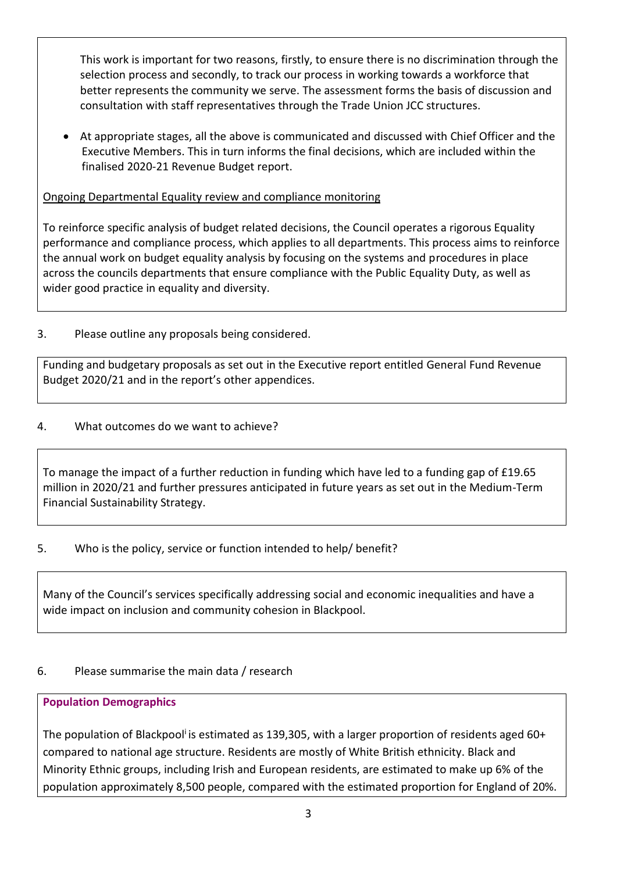This work is important for two reasons, firstly, to ensure there is no discrimination through the selection process and secondly, to track our process in working towards a workforce that better represents the community we serve. The assessment forms the basis of discussion and consultation with staff representatives through the Trade Union JCC structures.

 At appropriate stages, all the above is communicated and discussed with Chief Officer and the Executive Members. This in turn informs the final decisions, which are included within the finalised 2020-21 Revenue Budget report.

Ongoing Departmental Equality review and compliance monitoring

To reinforce specific analysis of budget related decisions, the Council operates a rigorous Equality performance and compliance process, which applies to all departments. This process aims to reinforce the annual work on budget equality analysis by focusing on the systems and procedures in place across the councils departments that ensure compliance with the Public Equality Duty, as well as wider good practice in equality and diversity.

3. Please outline any proposals being considered.

Funding and budgetary proposals as set out in the Executive report entitled General Fund Revenue Budget 2020/21 and in the report's other appendices.

## 4. What outcomes do we want to achieve?

To manage the impact of a further reduction in funding which have led to a funding gap of £19.65 million in 2020/21 and further pressures anticipated in future years as set out in the Medium-Term Financial Sustainability Strategy.

## 5. Who is the policy, service or function intended to help/ benefit?

Many of the Council's services specifically addressing social and economic inequalities and have a wide impact on inclusion and community cohesion in Blackpool.

## 6. Please summarise the main data / research

## **Population Demographics**

The population of Blackpool<sup>i</sup> is estimated as 139,305, with a larger proportion of residents aged 60+ compared to national age structure. Residents are mostly of White British ethnicity. Black and Minority Ethnic groups, including Irish and European residents, are estimated to make up 6% of the population approximately 8,500 people, compared with the estimated proportion for England of 20%.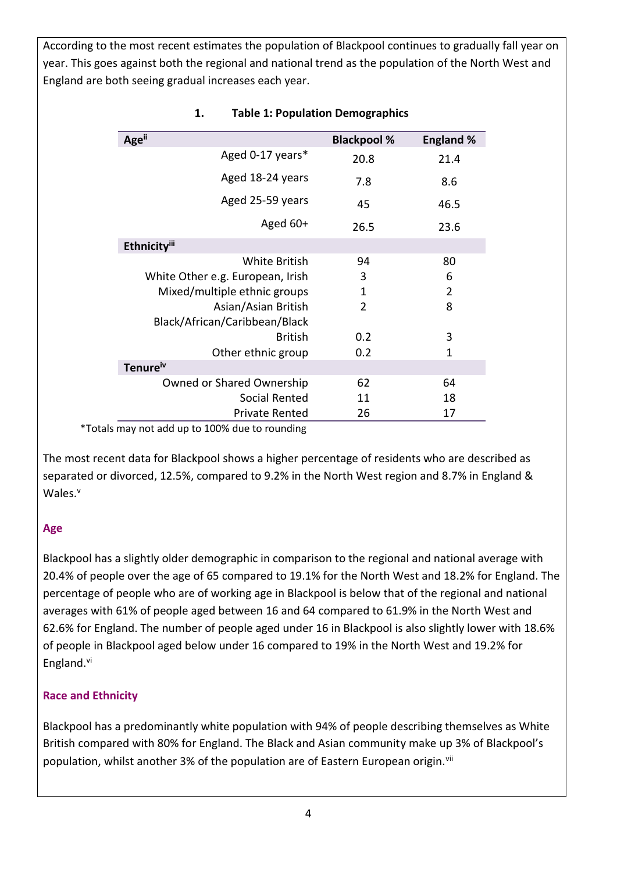According to the most recent estimates the population of Blackpool continues to gradually fall year on year. This goes against both the regional and national trend as the population of the North West and England are both seeing gradual increases each year.

| <b>Age</b> <sup>ii</sup>         | <b>Blackpool %</b> | <b>England %</b> |
|----------------------------------|--------------------|------------------|
| Aged 0-17 years*                 | 20.8               | 21.4             |
| Aged 18-24 years                 | 7.8                | 8.6              |
| Aged 25-59 years                 | 45                 | 46.5             |
| Aged $60+$                       | 26.5               | 23.6             |
| <b>Ethnicityili</b>              |                    |                  |
| <b>White British</b>             | 94                 | 80               |
| White Other e.g. European, Irish | 3                  | 6                |
| Mixed/multiple ethnic groups     | 1                  | $\overline{2}$   |
| Asian/Asian British              | 2                  | 8                |
| Black/African/Caribbean/Black    |                    |                  |
| <b>British</b>                   | 0.2                | 3                |
| Other ethnic group               | 0.2                | $\mathbf{1}$     |
| Tenure <sup>iv</sup>             |                    |                  |
| Owned or Shared Ownership        | 62                 | 64               |
| Social Rented                    | 11                 | 18               |
| <b>Private Rented</b>            | 26                 | 17               |

#### **1. Table 1: Population Demographics**

\*Totals may not add up to 100% due to rounding

The most recent data for Blackpool shows a higher percentage of residents who are described as separated or divorced, 12.5%, compared to 9.2% in the North West region and 8.7% in England & Wales.<sup>v</sup>

### **Age**

Blackpool has a slightly older demographic in comparison to the regional and national average with 20.4% of people over the age of 65 compared to 19.1% for the North West and 18.2% for England. The percentage of people who are of working age in Blackpool is below that of the regional and national averages with 61% of people aged between 16 and 64 compared to 61.9% in the North West and 62.6% for England. The number of people aged under 16 in Blackpool is also slightly lower with 18.6% of people in Blackpool aged below under 16 compared to 19% in the North West and 19.2% for England.vi

### **Race and Ethnicity**

Blackpool has a predominantly white population with 94% of people describing themselves as White British compared with 80% for England. The Black and Asian community make up 3% of Blackpool's population, whilst another 3% of the population are of Eastern European origin.<sup>vii</sup>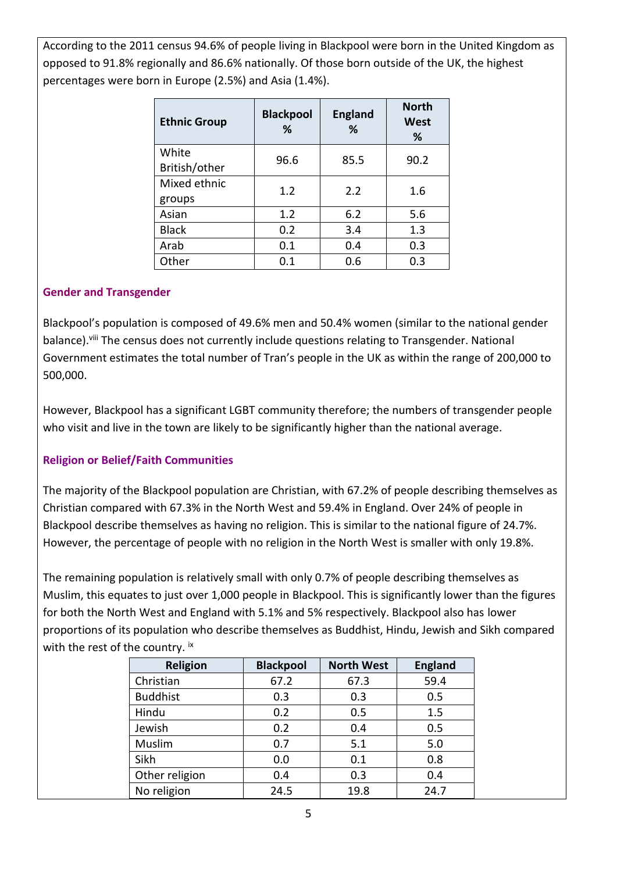According to the 2011 census 94.6% of people living in Blackpool were born in the United Kingdom as opposed to 91.8% regionally and 86.6% nationally. Of those born outside of the UK, the highest percentages were born in Europe (2.5%) and Asia (1.4%).

| <b>Ethnic Group</b>    | <b>Blackpool</b><br>℅ | <b>England</b><br>% | <b>North</b><br><b>West</b><br>% |
|------------------------|-----------------------|---------------------|----------------------------------|
| White<br>British/other | 96.6                  | 85.5                | 90.2                             |
| Mixed ethnic<br>groups | 1.2                   | 2.2                 | 1.6                              |
| Asian                  | 1.2                   | 6.2                 | 5.6                              |
| <b>Black</b>           | 0.2                   | 3.4                 | 1.3                              |
| Arab                   | 0.1                   | 0.4                 | 0.3                              |
| Other                  | 0.1                   | 0.6                 | 0.3                              |

#### **Gender and Transgender**

Blackpool's population is composed of 49.6% men and 50.4% women (similar to the national gender balance).<sup>viii</sup> The census does not currently include questions relating to Transgender. National Government estimates the total number of Tran's people in the UK as within the range of 200,000 to 500,000.

However, Blackpool has a significant LGBT community therefore; the numbers of transgender people who visit and live in the town are likely to be significantly higher than the national average.

### **Religion or Belief/Faith Communities**

The majority of the Blackpool population are Christian, with 67.2% of people describing themselves as Christian compared with 67.3% in the North West and 59.4% in England. Over 24% of people in Blackpool describe themselves as having no religion. This is similar to the national figure of 24.7%. However, the percentage of people with no religion in the North West is smaller with only 19.8%.

The remaining population is relatively small with only 0.7% of people describing themselves as Muslim, this equates to just over 1,000 people in Blackpool. This is significantly lower than the figures for both the North West and England with 5.1% and 5% respectively. Blackpool also has lower proportions of its population who describe themselves as Buddhist, Hindu, Jewish and Sikh compared with the rest of the country. ix

| <b>Religion</b> | <b>Blackpool</b> | <b>North West</b> | <b>England</b> |
|-----------------|------------------|-------------------|----------------|
| Christian       | 67.2             | 67.3              | 59.4           |
| <b>Buddhist</b> | 0.3              | 0.3               | 0.5            |
| Hindu           | 0.2              | 0.5               | 1.5            |
| Jewish          | 0.2              | 0.4               | 0.5            |
| Muslim          | 0.7              | 5.1               | 5.0            |
| Sikh            | 0.0              | 0.1               | 0.8            |
| Other religion  | 0.4              | 0.3               | 0.4            |
| No religion     | 24.5             | 19.8              | 24.7           |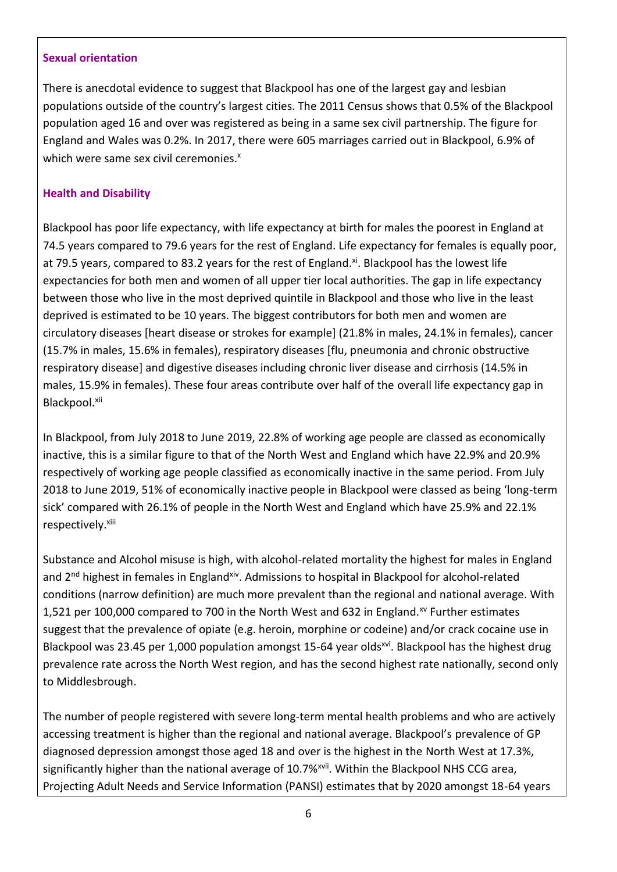#### **Sexual orientation**

There is anecdotal evidence to suggest that Blackpool has one of the largest gay and lesbian populations outside of the country's largest cities. The 2011 Census shows that 0.5% of the Blackpool population aged 16 and over was registered as being in a same sex civil partnership. The figure for England and Wales was 0.2%. In 2017, there were 605 marriages carried out in Blackpool, 6.9% of which were same sex civil ceremonies. $x^2$ 

#### **Health and Disability**

Blackpool has poor life expectancy, with life expectancy at birth for males the poorest in England at 74.5 years compared to 79.6 years for the rest of England. Life expectancy for females is equally poor, at 79.5 years, compared to 83.2 years for the rest of England.<sup>xi</sup>. Blackpool has the lowest life expectancies for both men and women of all upper tier local authorities. The gap in life expectancy between those who live in the most deprived quintile in Blackpool and those who live in the least deprived is estimated to be 10 years. The biggest contributors for both men and women are circulatory diseases [heart disease or strokes for example] (21.8% in males, 24.1% in females), cancer (15.7% in males, 15.6% in females), respiratory diseases [flu, pneumonia and chronic obstructive respiratory disease] and digestive diseases including chronic liver disease and cirrhosis (14.5% in males, 15.9% in females). These four areas contribute over half of the overall life expectancy gap in Blackpool.xii

In Blackpool, from July 2018 to June 2019, 22.8% of working age people are classed as economically inactive, this is a similar figure to that of the North West and England which have 22.9% and 20.9% respectively of working age people classified as economically inactive in the same period. From July 2018 to June 2019, 51% of economically inactive people in Blackpool were classed as being 'long-term sick' compared with 26.1% of people in the North West and England which have 25.9% and 22.1% respectively.<sup>xiii</sup>

Substance and Alcohol misuse is high, with alcohol-related mortality the highest for males in England and 2<sup>nd</sup> highest in females in England<sup>xiv</sup>. Admissions to hospital in Blackpool for alcohol-related conditions (narrow definition) are much more prevalent than the regional and national average. With 1,521 per 100,000 compared to 700 in the North West and 632 in England.<sup>xv</sup> Further estimates suggest that the prevalence of opiate (e.g. heroin, morphine or codeine) and/or crack cocaine use in Blackpool was 23.45 per 1,000 population amongst 15-64 year olds<sup>xvi</sup>. Blackpool has the highest drug prevalence rate across the North West region, and has the second highest rate nationally, second only to Middlesbrough.

The number of people registered with severe long-term mental health problems and who are actively accessing treatment is higher than the regional and national average. Blackpool's prevalence of GP diagnosed depression amongst those aged 18 and over is the highest in the North West at 17.3%, significantly higher than the national average of 10.7%<sup>xvii</sup>. Within the Blackpool NHS CCG area, Projecting Adult Needs and Service Information (PANSI) estimates that by 2020 amongst 18-64 years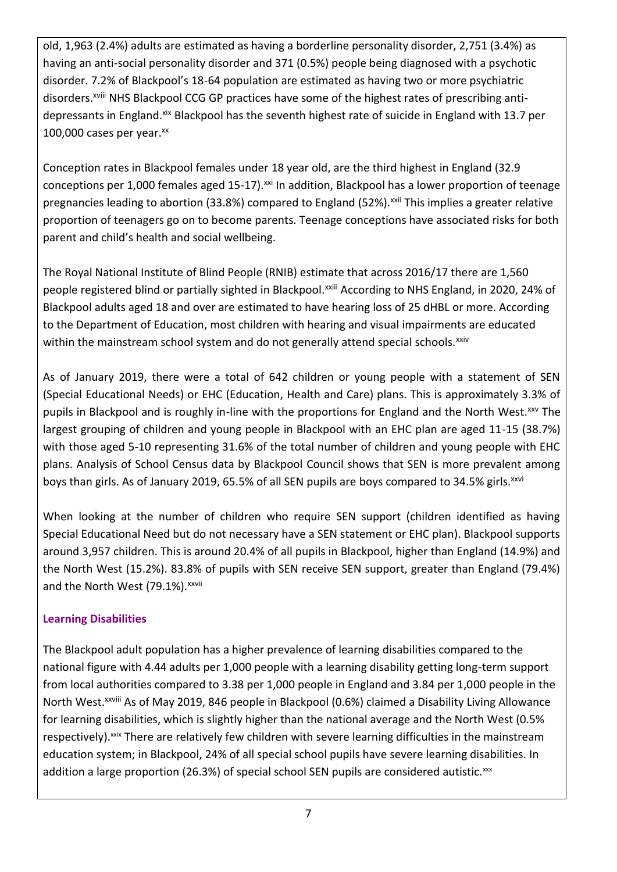old, 1,963 (2.4%) adults are estimated as having a borderline personality disorder, 2,751 (3.4%) as having an anti-social personality disorder and 371 (0.5%) people being diagnosed with a psychotic disorder. 7.2% of Blackpool's 18-64 population are estimated as having two or more psychiatric disorders.<sup>xviii</sup> NHS Blackpool CCG GP practices have some of the highest rates of prescribing antidepressants in England.<sup>xix</sup> Blackpool has the seventh highest rate of suicide in England with 13.7 per 100,000 cases per year. $^{xx}$ 

Conception rates in Blackpool females under 18 year old, are the third highest in England (32.9 conceptions per 1,000 females aged 15-17).<sup>xxi</sup> In addition, Blackpool has a lower proportion of teenage pregnancies leading to abortion (33.8%) compared to England (52%).<sup>xxii</sup> This implies a greater relative proportion of teenagers go on to become parents. Teenage conceptions have associated risks for both parent and child's health and social wellbeing.

The Royal National Institute of Blind People (RNIB) estimate that across 2016/17 there are 1,560 people registered blind or partially sighted in Blackpool.<sup>xxiii</sup> According to NHS England, in 2020, 24% of Blackpool adults aged 18 and over are estimated to have hearing loss of 25 dHBL or more. According to the Department of Education, most children with hearing and visual impairments are educated within the mainstream school system and do not generally attend special schools.<sup>xxiv</sup>

As of January 2019, there were a total of 642 children or young people with a statement of SEN (Special Educational Needs) or EHC (Education, Health and Care) plans. This is approximately 3.3% of pupils in Blackpool and is roughly in-line with the proportions for England and the North West.<sup>xxv</sup> The largest grouping of children and young people in Blackpool with an EHC plan are aged 11-15 (38.7%) with those aged 5-10 representing 31.6% of the total number of children and young people with EHC plans. Analysis of School Census data by Blackpool Council shows that SEN is more prevalent among boys than girls. As of January 2019, 65.5% of all SEN pupils are boys compared to 34.5% girls.<sup>xxvi</sup>

When looking at the number of children who require SEN support (children identified as having Special Educational Need but do not necessary have a SEN statement or EHC plan). Blackpool supports around 3,957 children. This is around 20.4% of all pupils in Blackpool, higher than England (14.9%) and the North West (15.2%). 83.8% of pupils with SEN receive SEN support, greater than England (79.4%) and the North West (79.1%). xxvii

## **Learning Disabilities**

The Blackpool adult population has a higher prevalence of learning disabilities compared to the national figure with 4.44 adults per 1,000 people with a learning disability getting long-term support from local authorities compared to 3.38 per 1,000 people in England and 3.84 per 1,000 people in the North West.xxviii As of May 2019, 846 people in Blackpool (0.6%) claimed a Disability Living Allowance for learning disabilities, which is slightly higher than the national average and the North West (0.5% respectively). xxix There are relatively few children with severe learning difficulties in the mainstream education system; in Blackpool, 24% of all special school pupils have severe learning disabilities. In addition a large proportion (26.3%) of special school SEN pupils are considered autistic.xxx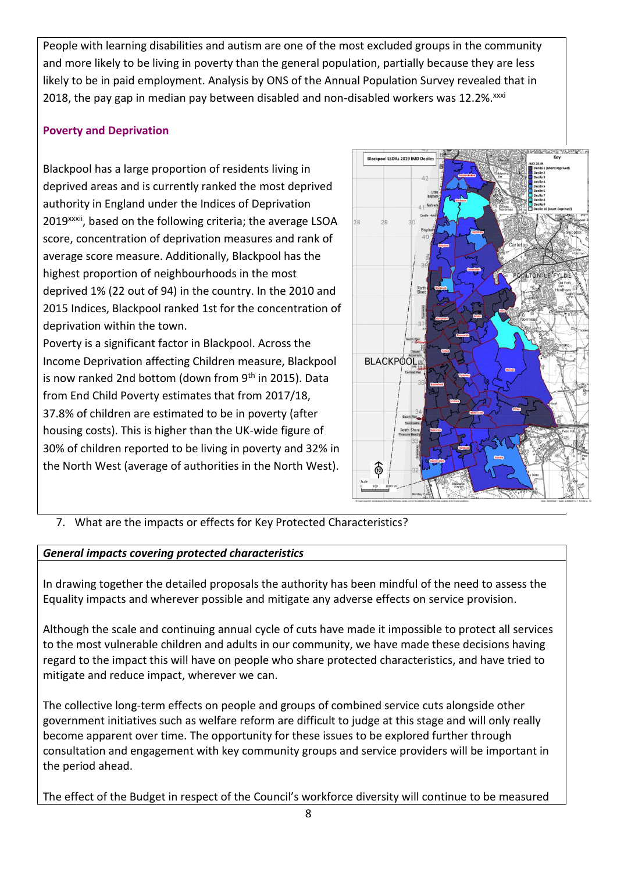People with learning disabilities and autism are one of the most excluded groups in the community and more likely to be living in poverty than the general population, partially because they are less likely to be in paid employment. Analysis by ONS of the Annual Population Survey revealed that in 2018, the pay gap in median pay between disabled and non-disabled workers was 12.2%.<sup>xxxi</sup>

## **Poverty and Deprivation**

Blackpool has a large proportion of residents living in deprived areas and is currently ranked the most deprived authority in England under the Indices of Deprivation 2019<sup>xxxii</sup>, based on the following criteria; the average LSOA score, concentration of deprivation measures and rank of average score measure. Additionally, Blackpool has the highest proportion of neighbourhoods in the most deprived 1% (22 out of 94) in the country. In the 2010 and 2015 Indices, Blackpool ranked 1st for the concentration of deprivation within the town.

Poverty is a significant factor in Blackpool. Across the Income Deprivation affecting Children measure, Blackpool is now ranked 2nd bottom (down from  $9<sup>th</sup>$  in 2015). Data from End Child Poverty estimates that from 2017/18, 37.8% of children are estimated to be in poverty (after housing costs). This is higher than the UK-wide figure of 30% of children reported to be living in poverty and 32% in the North West (average of authorities in the North West).



7. What are the impacts or effects for Key Protected Characteristics?

### *General impacts covering protected characteristics*

In drawing together the detailed proposals the authority has been mindful of the need to assess the Equality impacts and wherever possible and mitigate any adverse effects on service provision.

Although the scale and continuing annual cycle of cuts have made it impossible to protect all services to the most vulnerable children and adults in our community, we have made these decisions having regard to the impact this will have on people who share protected characteristics, and have tried to mitigate and reduce impact, wherever we can.

The collective long-term effects on people and groups of combined service cuts alongside other government initiatives such as welfare reform are difficult to judge at this stage and will only really become apparent over time. The opportunity for these issues to be explored further through consultation and engagement with key community groups and service providers will be important in the period ahead.

The effect of the Budget in respect of the Council's workforce diversity will continue to be measured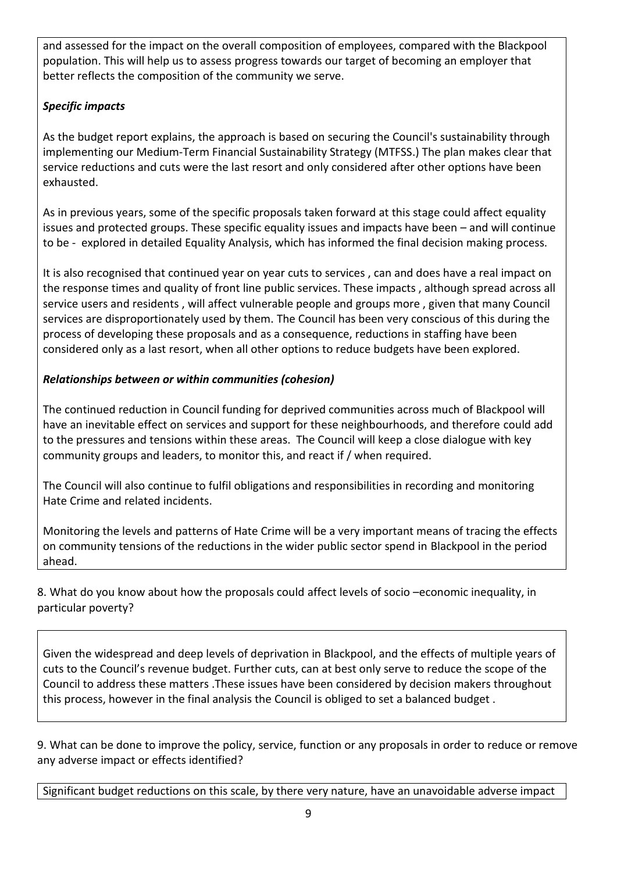and assessed for the impact on the overall composition of employees, compared with the Blackpool population. This will help us to assess progress towards our target of becoming an employer that better reflects the composition of the community we serve.

## *Specific impacts*

As the budget report explains, the approach is based on securing the Council's sustainability through implementing our Medium-Term Financial Sustainability Strategy (MTFSS.) The plan makes clear that service reductions and cuts were the last resort and only considered after other options have been exhausted.

As in previous years, some of the specific proposals taken forward at this stage could affect equality issues and protected groups. These specific equality issues and impacts have been – and will continue to be - explored in detailed Equality Analysis, which has informed the final decision making process.

It is also recognised that continued year on year cuts to services , can and does have a real impact on the response times and quality of front line public services. These impacts , although spread across all service users and residents , will affect vulnerable people and groups more , given that many Council services are disproportionately used by them. The Council has been very conscious of this during the process of developing these proposals and as a consequence, reductions in staffing have been considered only as a last resort, when all other options to reduce budgets have been explored.

## *Relationships between or within communities (cohesion)*

The continued reduction in Council funding for deprived communities across much of Blackpool will have an inevitable effect on services and support for these neighbourhoods, and therefore could add to the pressures and tensions within these areas. The Council will keep a close dialogue with key community groups and leaders, to monitor this, and react if / when required.

The Council will also continue to fulfil obligations and responsibilities in recording and monitoring Hate Crime and related incidents.

Monitoring the levels and patterns of Hate Crime will be a very important means of tracing the effects on community tensions of the reductions in the wider public sector spend in Blackpool in the period ahead.

8. What do you know about how the proposals could affect levels of socio –economic inequality, in particular poverty?

Given the widespread and deep levels of deprivation in Blackpool, and the effects of multiple years of cuts to the Council's revenue budget. Further cuts, can at best only serve to reduce the scope of the Council to address these matters .These issues have been considered by decision makers throughout this process, however in the final analysis the Council is obliged to set a balanced budget .

9. What can be done to improve the policy, service, function or any proposals in order to reduce or remove any adverse impact or effects identified?

Significant budget reductions on this scale, by there very nature, have an unavoidable adverse impact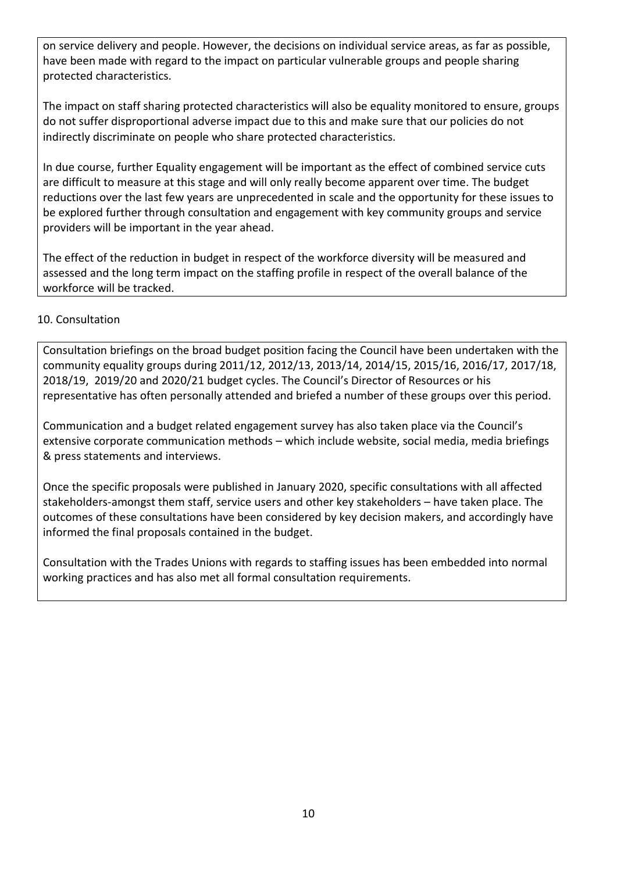on service delivery and people. However, the decisions on individual service areas, as far as possible, have been made with regard to the impact on particular vulnerable groups and people sharing protected characteristics.

The impact on staff sharing protected characteristics will also be equality monitored to ensure, groups do not suffer disproportional adverse impact due to this and make sure that our policies do not indirectly discriminate on people who share protected characteristics.

In due course, further Equality engagement will be important as the effect of combined service cuts are difficult to measure at this stage and will only really become apparent over time. The budget reductions over the last few years are unprecedented in scale and the opportunity for these issues to be explored further through consultation and engagement with key community groups and service providers will be important in the year ahead.

The effect of the reduction in budget in respect of the workforce diversity will be measured and assessed and the long term impact on the staffing profile in respect of the overall balance of the workforce will be tracked.

### 10. Consultation

Consultation briefings on the broad budget position facing the Council have been undertaken with the community equality groups during 2011/12, 2012/13, 2013/14, 2014/15, 2015/16, 2016/17, 2017/18, 2018/19, 2019/20 and 2020/21 budget cycles. The Council's Director of Resources or his representative has often personally attended and briefed a number of these groups over this period.

Communication and a budget related engagement survey has also taken place via the Council's extensive corporate communication methods – which include website, social media, media briefings & press statements and interviews.

Once the specific proposals were published in January 2020, specific consultations with all affected stakeholders-amongst them staff, service users and other key stakeholders – have taken place. The outcomes of these consultations have been considered by key decision makers, and accordingly have informed the final proposals contained in the budget.

Consultation with the Trades Unions with regards to staffing issues has been embedded into normal working practices and has also met all formal consultation requirements.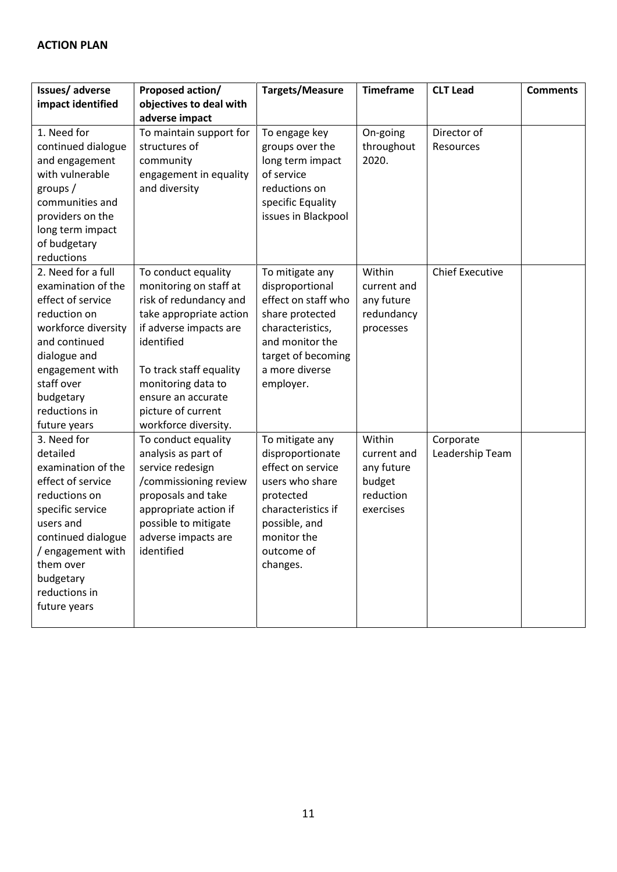| Issues/adverse                                                                                                                                                                                                             | Proposed action/                                                                                                                                                                                                                                                | Targets/Measure                                                                                                                                                          | <b>Timeframe</b>                                                        | <b>CLT Lead</b>              | <b>Comments</b> |
|----------------------------------------------------------------------------------------------------------------------------------------------------------------------------------------------------------------------------|-----------------------------------------------------------------------------------------------------------------------------------------------------------------------------------------------------------------------------------------------------------------|--------------------------------------------------------------------------------------------------------------------------------------------------------------------------|-------------------------------------------------------------------------|------------------------------|-----------------|
| impact identified                                                                                                                                                                                                          | objectives to deal with                                                                                                                                                                                                                                         |                                                                                                                                                                          |                                                                         |                              |                 |
|                                                                                                                                                                                                                            | adverse impact                                                                                                                                                                                                                                                  |                                                                                                                                                                          |                                                                         |                              |                 |
| 1. Need for<br>continued dialogue<br>and engagement<br>with vulnerable<br>groups/<br>communities and<br>providers on the<br>long term impact<br>of budgetary<br>reductions                                                 | To maintain support for<br>structures of<br>community<br>engagement in equality<br>and diversity                                                                                                                                                                | To engage key<br>groups over the<br>long term impact<br>of service<br>reductions on<br>specific Equality<br>issues in Blackpool                                          | On-going<br>throughout<br>2020.                                         | Director of<br>Resources     |                 |
| 2. Need for a full<br>examination of the<br>effect of service<br>reduction on<br>workforce diversity<br>and continued<br>dialogue and<br>engagement with<br>staff over<br>budgetary<br>reductions in<br>future years       | To conduct equality<br>monitoring on staff at<br>risk of redundancy and<br>take appropriate action<br>if adverse impacts are<br>identified<br>To track staff equality<br>monitoring data to<br>ensure an accurate<br>picture of current<br>workforce diversity. | To mitigate any<br>disproportional<br>effect on staff who<br>share protected<br>characteristics,<br>and monitor the<br>target of becoming<br>a more diverse<br>employer. | Within<br>current and<br>any future<br>redundancy<br>processes          | <b>Chief Executive</b>       |                 |
| 3. Need for<br>detailed<br>examination of the<br>effect of service<br>reductions on<br>specific service<br>users and<br>continued dialogue<br>/ engagement with<br>them over<br>budgetary<br>reductions in<br>future years | To conduct equality<br>analysis as part of<br>service redesign<br>/commissioning review<br>proposals and take<br>appropriate action if<br>possible to mitigate<br>adverse impacts are<br>identified                                                             | To mitigate any<br>disproportionate<br>effect on service<br>users who share<br>protected<br>characteristics if<br>possible, and<br>monitor the<br>outcome of<br>changes. | Within<br>current and<br>any future<br>budget<br>reduction<br>exercises | Corporate<br>Leadership Team |                 |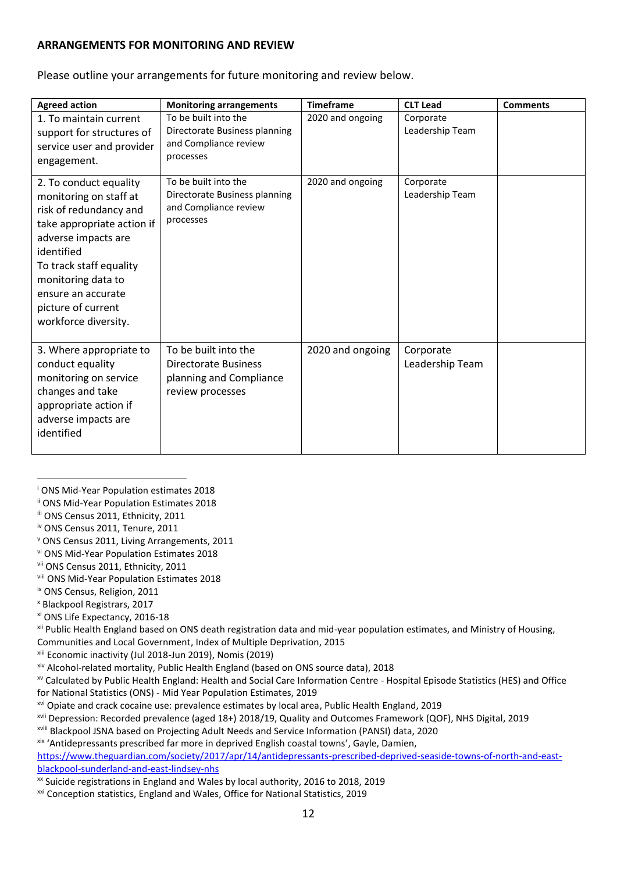#### **ARRANGEMENTS FOR MONITORING AND REVIEW**

Please outline your arrangements for future monitoring and review below.

| <b>Agreed action</b>                                                                                                                                                                                                                                               | <b>Monitoring arrangements</b>                                                                     | <b>Timeframe</b> | <b>CLT Lead</b>              | <b>Comments</b> |
|--------------------------------------------------------------------------------------------------------------------------------------------------------------------------------------------------------------------------------------------------------------------|----------------------------------------------------------------------------------------------------|------------------|------------------------------|-----------------|
| 1. To maintain current<br>support for structures of<br>service user and provider<br>engagement.                                                                                                                                                                    | To be built into the<br>Directorate Business planning<br>and Compliance review<br>processes        | 2020 and ongoing | Corporate<br>Leadership Team |                 |
| 2. To conduct equality<br>monitoring on staff at<br>risk of redundancy and<br>take appropriate action if<br>adverse impacts are<br>identified<br>To track staff equality<br>monitoring data to<br>ensure an accurate<br>picture of current<br>workforce diversity. | To be built into the<br>Directorate Business planning<br>and Compliance review<br>processes        | 2020 and ongoing | Corporate<br>Leadership Team |                 |
| 3. Where appropriate to<br>conduct equality<br>monitoring on service<br>changes and take<br>appropriate action if<br>adverse impacts are<br>identified                                                                                                             | To be built into the<br><b>Directorate Business</b><br>planning and Compliance<br>review processes | 2020 and ongoing | Corporate<br>Leadership Team |                 |

<sup>i</sup> ONS Mid-Year Population estimates 2018

<u>.</u>

xi ONS Life Expectancy, 2016-18

xii Public Health England based on ONS death registration data and mid-year population estimates, and Ministry of Housing, Communities and Local Government, Index of Multiple Deprivation, 2015

xiii Economic inactivity (Jul 2018-Jun 2019), Nomis (2019)

xiv Alcohol-related mortality, Public Health England (based on ONS source data), 2018

xv Calculated by Public Health England: Health and Social Care Information Centre - Hospital Episode Statistics (HES) and Office for National Statistics (ONS) - Mid Year Population Estimates, 2019

xvi Opiate and crack cocaine use: prevalence estimates by local area, Public Health England, 2019

xviii Blackpool JSNA based on Projecting Adult Needs and Service Information (PANSI) data, 2020

xix 'Antidepressants prescribed far more in deprived English coastal towns', Gayle, Damien,

[https://www.theguardian.com/society/2017/apr/14/antidepressants-prescribed-deprived-seaside-towns-of-north-and-east](https://www.theguardian.com/society/2017/apr/14/antidepressants-prescribed-deprived-seaside-towns-of-north-and-east-blackpool-sunderland-and-east-lindsey-nhs)[blackpool-sunderland-and-east-lindsey-nhs](https://www.theguardian.com/society/2017/apr/14/antidepressants-prescribed-deprived-seaside-towns-of-north-and-east-blackpool-sunderland-and-east-lindsey-nhs)

xx Suicide registrations in England and Wales by local authority, 2016 to 2018, 2019

xxi Conception statistics, England and Wales, Office for National Statistics, 2019

ii ONS Mid-Year Population Estimates 2018

iii ONS Census 2011, Ethnicity, 2011

iv ONS Census 2011, Tenure, 2011

<sup>v</sup> ONS Census 2011, Living Arrangements, 2011

vi ONS Mid-Year Population Estimates 2018

vii ONS Census 2011, Ethnicity, 2011

viii ONS Mid-Year Population Estimates 2018

ix ONS Census, Religion, 2011

<sup>x</sup> Blackpool Registrars, 2017

xvii Depression: Recorded prevalence (aged 18+) 2018/19, Quality and Outcomes Framework (QOF), NHS Digital, 2019